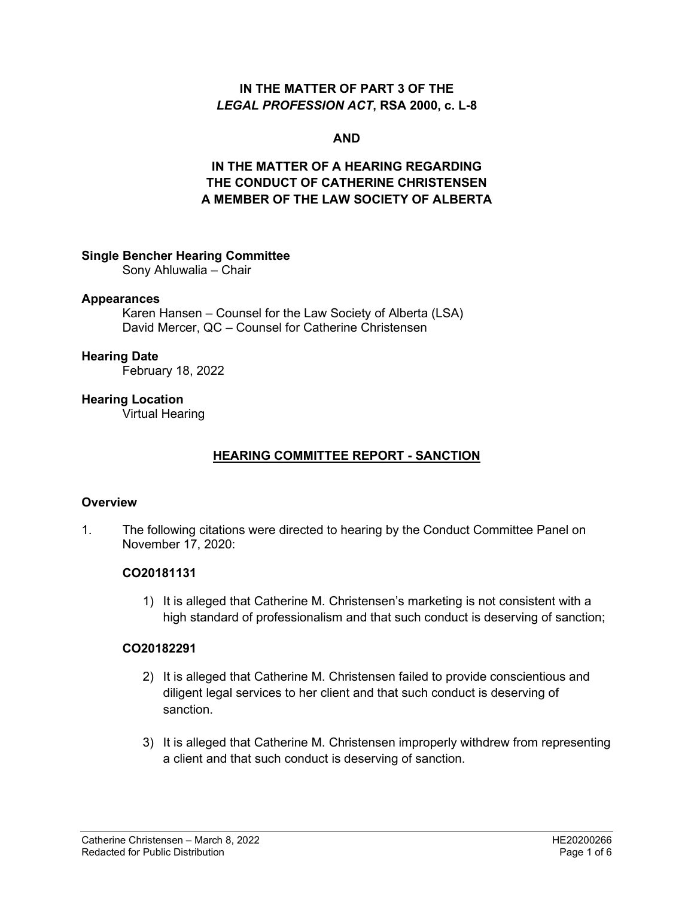#### **IN THE MATTER OF PART 3 OF THE**  *LEGAL PROFESSION ACT***, RSA 2000, c. L-8**

#### **AND**

## **IN THE MATTER OF A HEARING REGARDING THE CONDUCT OF CATHERINE CHRISTENSEN A MEMBER OF THE LAW SOCIETY OF ALBERTA**

#### **Single Bencher Hearing Committee**

Sony Ahluwalia – Chair

#### **Appearances**

Karen Hansen – Counsel for the Law Society of Alberta (LSA) David Mercer, QC – Counsel for Catherine Christensen

#### **Hearing Date**

February 18, 2022

#### **Hearing Location**

Virtual Hearing

### **HEARING COMMITTEE REPORT - SANCTION**

#### **Overview**

1. The following citations were directed to hearing by the Conduct Committee Panel on November 17, 2020:

#### **CO20181131**

1) It is alleged that Catherine M. Christensen's marketing is not consistent with a high standard of professionalism and that such conduct is deserving of sanction;

#### **CO20182291**

- 2) It is alleged that Catherine M. Christensen failed to provide conscientious and diligent legal services to her client and that such conduct is deserving of sanction.
- 3) It is alleged that Catherine M. Christensen improperly withdrew from representing a client and that such conduct is deserving of sanction.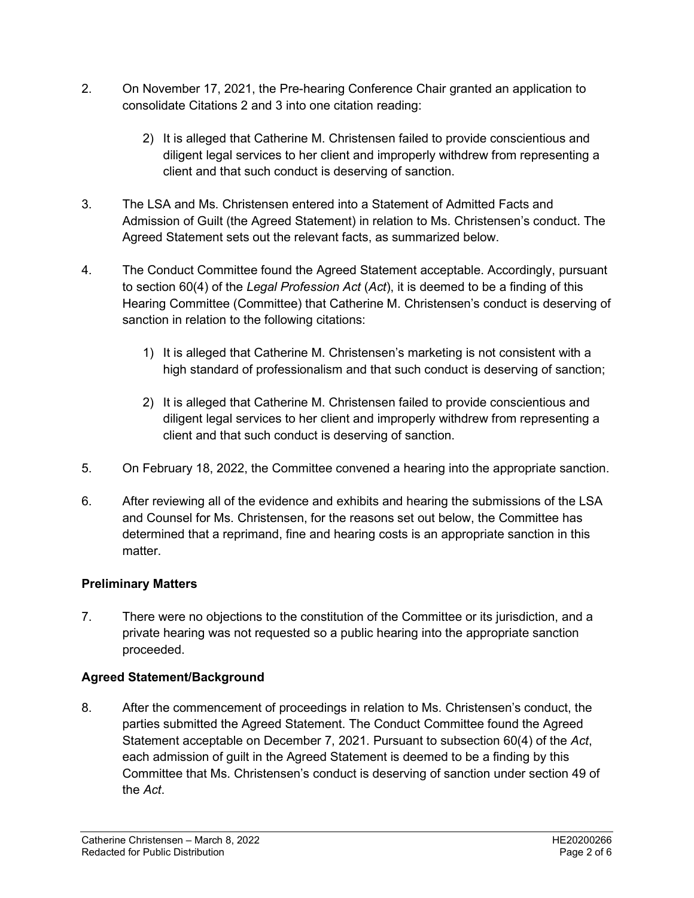- 2. On November 17, 2021, the Pre-hearing Conference Chair granted an application to consolidate Citations 2 and 3 into one citation reading:
	- 2) It is alleged that Catherine M. Christensen failed to provide conscientious and diligent legal services to her client and improperly withdrew from representing a client and that such conduct is deserving of sanction.
- 3. The LSA and Ms. Christensen entered into a Statement of Admitted Facts and Admission of Guilt (the Agreed Statement) in relation to Ms. Christensen's conduct. The Agreed Statement sets out the relevant facts, as summarized below.
- 4. The Conduct Committee found the Agreed Statement acceptable. Accordingly, pursuant to section 60(4) of the *Legal Profession Act* (*Act*), it is deemed to be a finding of this Hearing Committee (Committee) that Catherine M. Christensen's conduct is deserving of sanction in relation to the following citations:
	- 1) It is alleged that Catherine M. Christensen's marketing is not consistent with a high standard of professionalism and that such conduct is deserving of sanction;
	- 2) It is alleged that Catherine M. Christensen failed to provide conscientious and diligent legal services to her client and improperly withdrew from representing a client and that such conduct is deserving of sanction.
- 5. On February 18, 2022, the Committee convened a hearing into the appropriate sanction.
- 6. After reviewing all of the evidence and exhibits and hearing the submissions of the LSA and Counsel for Ms. Christensen, for the reasons set out below, the Committee has determined that a reprimand, fine and hearing costs is an appropriate sanction in this matter.

## **Preliminary Matters**

7. There were no objections to the constitution of the Committee or its jurisdiction, and a private hearing was not requested so a public hearing into the appropriate sanction proceeded.

# **Agreed Statement/Background**

8. After the commencement of proceedings in relation to Ms. Christensen's conduct, the parties submitted the Agreed Statement. The Conduct Committee found the Agreed Statement acceptable on December 7, 2021. Pursuant to subsection 60(4) of the *Act*, each admission of guilt in the Agreed Statement is deemed to be a finding by this Committee that Ms. Christensen's conduct is deserving of sanction under section 49 of the *Act*.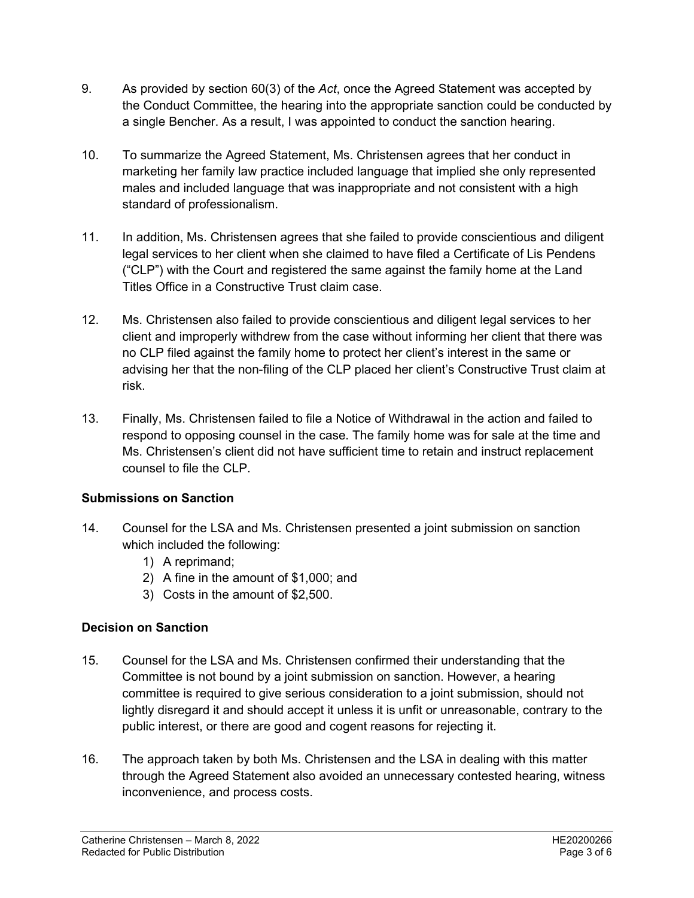- 9. As provided by section 60(3) of the *Act*, once the Agreed Statement was accepted by the Conduct Committee, the hearing into the appropriate sanction could be conducted by a single Bencher. As a result, I was appointed to conduct the sanction hearing.
- 10. To summarize the Agreed Statement, Ms. Christensen agrees that her conduct in marketing her family law practice included language that implied she only represented males and included language that was inappropriate and not consistent with a high standard of professionalism.
- 11. In addition, Ms. Christensen agrees that she failed to provide conscientious and diligent legal services to her client when she claimed to have filed a Certificate of Lis Pendens ("CLP") with the Court and registered the same against the family home at the Land Titles Office in a Constructive Trust claim case.
- 12. Ms. Christensen also failed to provide conscientious and diligent legal services to her client and improperly withdrew from the case without informing her client that there was no CLP filed against the family home to protect her client's interest in the same or advising her that the non-filing of the CLP placed her client's Constructive Trust claim at risk.
- 13. Finally, Ms. Christensen failed to file a Notice of Withdrawal in the action and failed to respond to opposing counsel in the case. The family home was for sale at the time and Ms. Christensen's client did not have sufficient time to retain and instruct replacement counsel to file the CLP.

## **Submissions on Sanction**

- 14. Counsel for the LSA and Ms. Christensen presented a joint submission on sanction which included the following:
	- 1) A reprimand;
	- 2) A fine in the amount of \$1,000; and
	- 3) Costs in the amount of \$2,500.

# **Decision on Sanction**

- 15. Counsel for the LSA and Ms. Christensen confirmed their understanding that the Committee is not bound by a joint submission on sanction. However, a hearing committee is required to give serious consideration to a joint submission, should not lightly disregard it and should accept it unless it is unfit or unreasonable, contrary to the public interest, or there are good and cogent reasons for rejecting it.
- 16. The approach taken by both Ms. Christensen and the LSA in dealing with this matter through the Agreed Statement also avoided an unnecessary contested hearing, witness inconvenience, and process costs.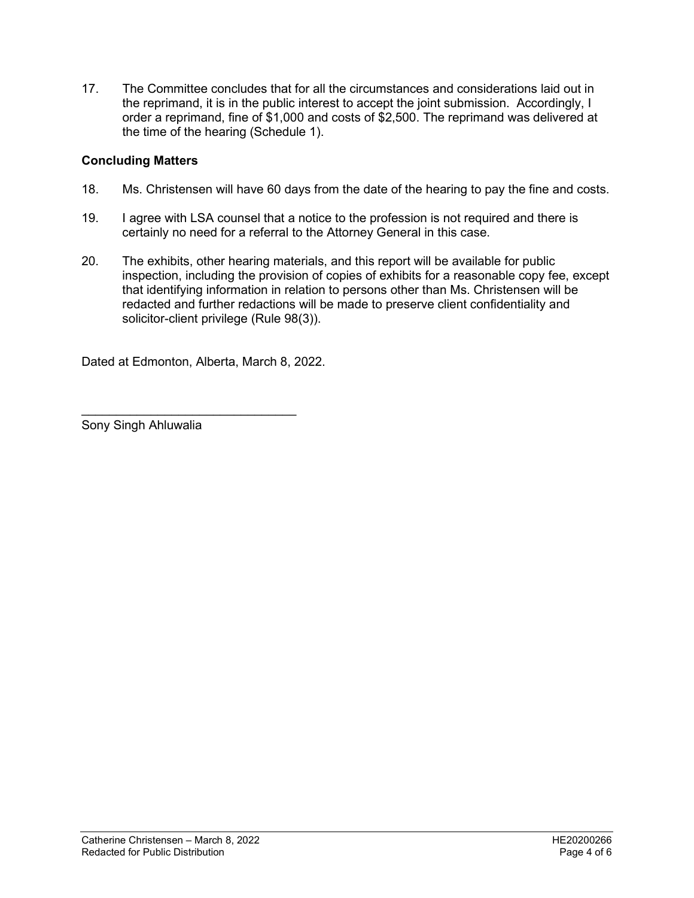17. The Committee concludes that for all the circumstances and considerations laid out in the reprimand, it is in the public interest to accept the joint submission. Accordingly, I order a reprimand, fine of \$1,000 and costs of \$2,500. The reprimand was delivered at the time of the hearing (Schedule 1).

### **Concluding Matters**

- 18. Ms. Christensen will have 60 days from the date of the hearing to pay the fine and costs.
- 19. I agree with LSA counsel that a notice to the profession is not required and there is certainly no need for a referral to the Attorney General in this case.
- 20. The exhibits, other hearing materials, and this report will be available for public inspection, including the provision of copies of exhibits for a reasonable copy fee, except that identifying information in relation to persons other than Ms. Christensen will be redacted and further redactions will be made to preserve client confidentiality and solicitor-client privilege (Rule 98(3)).

Dated at Edmonton, Alberta, March 8, 2022.

 $\_$ 

Sony Singh Ahluwalia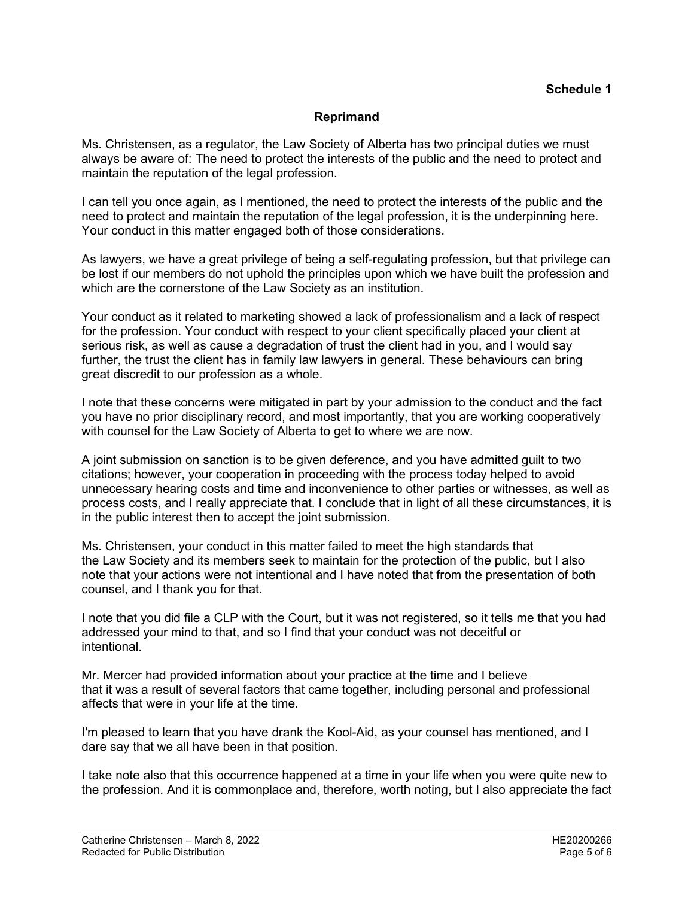#### **Reprimand**

Ms. Christensen, as a regulator, the Law Society of Alberta has two principal duties we must always be aware of: The need to protect the interests of the public and the need to protect and maintain the reputation of the legal profession.

I can tell you once again, as I mentioned, the need to protect the interests of the public and the need to protect and maintain the reputation of the legal profession, it is the underpinning here. Your conduct in this matter engaged both of those considerations.

As lawyers, we have a great privilege of being a self-regulating profession, but that privilege can be lost if our members do not uphold the principles upon which we have built the profession and which are the cornerstone of the Law Society as an institution.

Your conduct as it related to marketing showed a lack of professionalism and a lack of respect for the profession. Your conduct with respect to your client specifically placed your client at serious risk, as well as cause a degradation of trust the client had in you, and I would say further, the trust the client has in family law lawyers in general. These behaviours can bring great discredit to our profession as a whole.

I note that these concerns were mitigated in part by your admission to the conduct and the fact you have no prior disciplinary record, and most importantly, that you are working cooperatively with counsel for the Law Society of Alberta to get to where we are now.

A joint submission on sanction is to be given deference, and you have admitted guilt to two citations; however, your cooperation in proceeding with the process today helped to avoid unnecessary hearing costs and time and inconvenience to other parties or witnesses, as well as process costs, and I really appreciate that. I conclude that in light of all these circumstances, it is in the public interest then to accept the joint submission.

Ms. Christensen, your conduct in this matter failed to meet the high standards that the Law Society and its members seek to maintain for the protection of the public, but I also note that your actions were not intentional and I have noted that from the presentation of both counsel, and I thank you for that.

I note that you did file a CLP with the Court, but it was not registered, so it tells me that you had addressed your mind to that, and so I find that your conduct was not deceitful or intentional.

Mr. Mercer had provided information about your practice at the time and I believe that it was a result of several factors that came together, including personal and professional affects that were in your life at the time.

I'm pleased to learn that you have drank the Kool-Aid, as your counsel has mentioned, and I dare say that we all have been in that position.

I take note also that this occurrence happened at a time in your life when you were quite new to the profession. And it is commonplace and, therefore, worth noting, but I also appreciate the fact